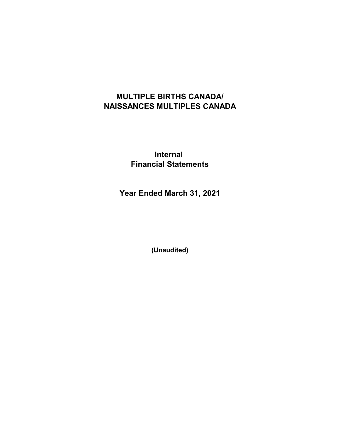# **MULTIPLE BIRTHS CANADA/ NAISSANCES MULTIPLES CANADA**

**Internal Financial Statements**

**Year Ended March 31, 2021**

**(Unaudited)**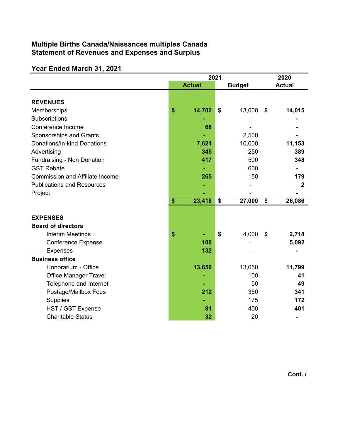## **Multiple Births Canada/Naissances multiples Canada Statement of Revenues and Expenses and Surplus**

# **Year Ended March 31, 2021**

|                                        | 2021          |                           |               |                   | 2020          |
|----------------------------------------|---------------|---------------------------|---------------|-------------------|---------------|
|                                        | <b>Actual</b> |                           | <b>Budget</b> |                   | <b>Actual</b> |
|                                        |               |                           |               |                   |               |
| <b>REVENUES</b>                        |               |                           |               |                   |               |
| Memberships                            | \$<br>14,702  | \$                        | 13,000        | \$                | 14,015        |
| Subscriptions                          |               |                           |               |                   |               |
| Conference Income                      | 68            |                           |               |                   |               |
| Sponsorships and Grants                |               |                           | 2,500         |                   |               |
| Donations/In-kind Donations            | 7,621         |                           | 10,000        |                   | 11,153        |
| Advertising                            | 345           |                           | 250           |                   | 389           |
| Fundraising - Non Donation             | 417           |                           | 500           |                   | 348           |
| <b>GST Rebate</b>                      |               |                           | 600           |                   |               |
| <b>Commission and Affiliate Income</b> | 265           |                           | 150           |                   | 179           |
| <b>Publications and Resources</b>      |               |                           |               |                   | $\mathbf{2}$  |
| Project                                |               |                           |               |                   |               |
|                                        | \$<br>23,418  | \$                        | 27,000        | $\boldsymbol{\$}$ | 26,086        |
|                                        |               |                           |               |                   |               |
| <b>EXPENSES</b>                        |               |                           |               |                   |               |
| <b>Board of directors</b>              |               |                           |               |                   |               |
| Interim Meetings                       | \$            | $\boldsymbol{\mathsf{S}}$ | 4,000         | \$                | 2,718         |
| <b>Conference Expense</b>              | 100           |                           |               |                   | 5,092         |
| <b>Expenses</b>                        | 132           |                           |               |                   |               |
| <b>Business office</b>                 |               |                           |               |                   |               |
| Honorarium - Office                    | 13,650        |                           | 13,650        |                   | 11,799        |
| <b>Office Manager Travel</b>           |               |                           | 100           |                   | 41            |
| Telephone and Internet                 |               |                           | 50            |                   | 49            |
| Postage/Mailbox Fees                   | 212           |                           | 350           |                   | 341           |
| <b>Supplies</b>                        |               |                           | 175           |                   | 172           |
| HST / GST Expense                      | 81            |                           | 450           |                   | 401           |
| <b>Charitable Status</b>               | 32            |                           | 20            |                   |               |

**Cont. /**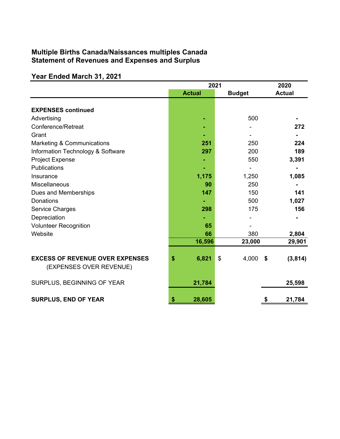## **Multiple Births Canada/Naissances multiples Canada Statement of Revenues and Expenses and Surplus**

### **Year Ended March 31, 2021**

|                                        | 2021          | 2020          |                |
|----------------------------------------|---------------|---------------|----------------|
|                                        | <b>Actual</b> | <b>Budget</b> | <b>Actual</b>  |
|                                        |               |               |                |
| <b>EXPENSES continued</b>              |               |               |                |
| Advertising                            |               | 500           |                |
| Conference/Retreat                     |               |               | 272            |
| Grant                                  |               |               |                |
| Marketing & Communications             | 251           | 250           | 224            |
| Information Technology & Software      | 297           | 200           | 189            |
| Project Expense                        |               | 550           | 3,391          |
| Publications                           |               |               |                |
| Insurance                              | 1,175         | 1,250         | 1,085          |
| Miscellaneous                          | 90            | 250           |                |
| Dues and Memberships                   | 147           | 150           | 141            |
| Donations                              |               | 500           | 1,027          |
| Service Charges                        | 298           | 175           | 156            |
| Depreciation                           |               |               |                |
| <b>Volunteer Recognition</b>           | 65            |               |                |
| Website                                | 66            | 380           | 2,804          |
|                                        | 16,596        | 23,000        | 29,901         |
|                                        |               |               |                |
| <b>EXCESS OF REVENUE OVER EXPENSES</b> | 6,821<br>\$   | \$<br>4,000   | \$<br>(3, 814) |
| (EXPENSES OVER REVENUE)                |               |               |                |
| SURPLUS, BEGINNING OF YEAR             | 21,784        |               | 25,598         |
|                                        |               |               |                |
| <b>SURPLUS, END OF YEAR</b>            | 28,605<br>\$  |               | 21,784<br>\$   |